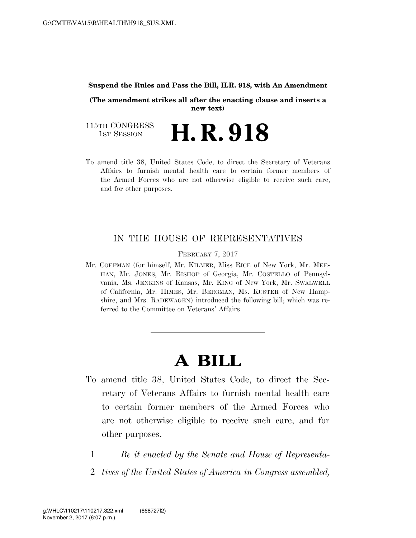#### **Suspend the Rules and Pass the Bill, H.R. 918, with An Amendment**

**(The amendment strikes all after the enacting clause and inserts a new text)** 

115TH CONGRESS<br>1st Session H. R. 918

To amend title 38, United States Code, to direct the Secretary of Veterans Affairs to furnish mental health care to certain former members of the Armed Forces who are not otherwise eligible to receive such care, and for other purposes.

### IN THE HOUSE OF REPRESENTATIVES

FEBRUARY 7, 2017

Mr. COFFMAN (for himself, Mr. KILMER, Miss RICE of New York, Mr. MEE-HAN, Mr. JONES, Mr. BISHOP of Georgia, Mr. COSTELLO of Pennsylvania, Ms. JENKINS of Kansas, Mr. KING of New York, Mr. SWALWELL of California, Mr. HIMES, Mr. BERGMAN, Ms. KUSTER of New Hampshire, and Mrs. RADEWAGEN) introduced the following bill; which was referred to the Committee on Veterans' Affairs

# **A BILL**

- To amend title 38, United States Code, to direct the Secretary of Veterans Affairs to furnish mental health care to certain former members of the Armed Forces who are not otherwise eligible to receive such care, and for other purposes.
	- 1 *Be it enacted by the Senate and House of Representa-*
	- 2 *tives of the United States of America in Congress assembled,*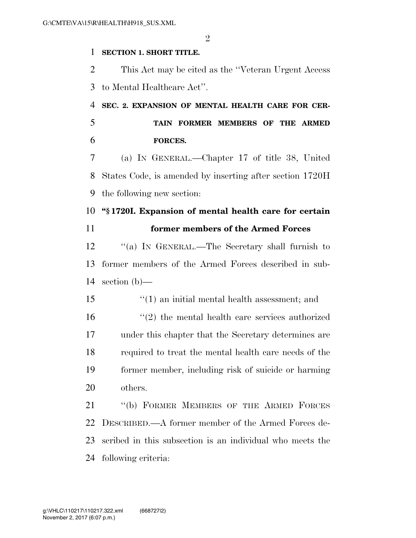$\mathfrak{D}$ 

### **SECTION 1. SHORT TITLE.**

 This Act may be cited as the ''Veteran Urgent Access to Mental Healthcare Act''.

 **SEC. 2. EXPANSION OF MENTAL HEALTH CARE FOR CER- TAIN FORMER MEMBERS OF THE ARMED FORCES.** 

 (a) IN GENERAL.—Chapter 17 of title 38, United States Code, is amended by inserting after section 1720H the following new section:

## **''§ 1720I. Expansion of mental health care for certain**

**former members of the Armed Forces** 

 ''(a) IN GENERAL.—The Secretary shall furnish to former members of the Armed Forces described in sub-section (b)—

''(1) an initial mental health assessment; and

 ''(2) the mental health care services authorized under this chapter that the Secretary determines are required to treat the mental health care needs of the former member, including risk of suicide or harming others.

 ''(b) FORMER MEMBERS OF THE ARMED FORCES DESCRIBED.—A former member of the Armed Forces de- scribed in this subsection is an individual who meets the following criteria: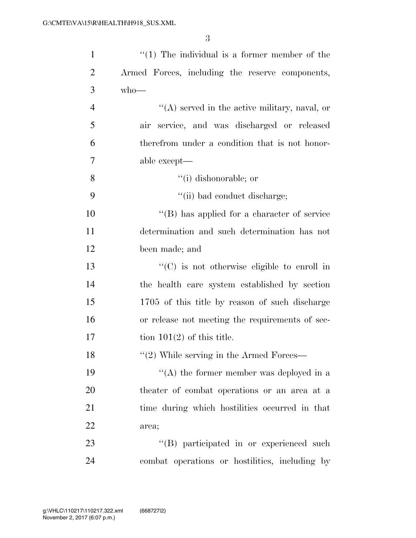3

| $\mathbf{1}$   | $\lq(1)$ The individual is a former member of the   |
|----------------|-----------------------------------------------------|
| $\overline{2}$ | Armed Forces, including the reserve components,     |
| 3              | $who$ —                                             |
| $\overline{4}$ | $\lq\lq$ served in the active military, naval, or   |
| 5              | air service, and was discharged or released         |
| 6              | therefrom under a condition that is not honor-      |
| 7              | able except—                                        |
| 8              | "(i) dishonorable; or                               |
| 9              | "(ii) bad conduct discharge;                        |
| 10             | "(B) has applied for a character of service         |
| 11             | determination and such determination has not        |
| 12             | been made; and                                      |
| 13             | $\lq\lq$ (C) is not otherwise eligible to enroll in |
| 14             | the health care system established by section       |
| 15             | 1705 of this title by reason of such discharge      |
| 16             | or release not meeting the requirements of sec-     |
| 17             | tion $101(2)$ of this title.                        |
| 18             | $"(2)$ While serving in the Armed Forces—           |
| 19             | "(A) the former member was deployed in a            |
| 20             | theater of combat operations or an area at a        |
| 21             | time during which hostilities occurred in that      |
| 22             | area;                                               |
| 23             | "(B) participated in or experienced such            |
| 24             | combat operations or hostilities, including by      |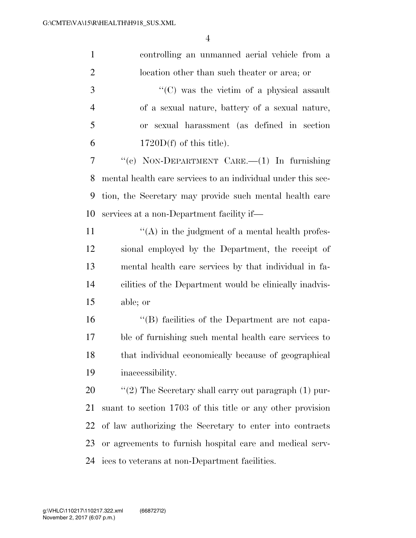| $\mathbf{1}$   | controlling an unmanned aerial vehicle from a                |
|----------------|--------------------------------------------------------------|
| $\overline{2}$ | location other than such theater or area; or                 |
| 3              | "(C) was the victim of a physical assault                    |
| $\overline{4}$ | of a sexual nature, battery of a sexual nature,              |
| 5              | or sexual harassment (as defined in section                  |
| 6              | $1720D(f)$ of this title).                                   |
| 7              | "(c) NON-DEPARTMENT CARE.— $(1)$ In furnishing               |
| 8              | mental health care services to an individual under this sec- |
| 9              | tion, the Secretary may provide such mental health care      |
| 10             | services at a non-Department facility if—                    |
| 11             | $\lq\lq$ in the judgment of a mental health profes-          |
| 12             | sional employed by the Department, the receipt of            |
| 13             | mental health care services by that individual in fa-        |
| 14             | cilities of the Department would be clinically inadvis-      |
| 15             | able; or                                                     |
| 16             | "(B) facilities of the Department are not capa-              |
| 17             | ble of furnishing such mental health care services to        |
| 18             | that individual economically because of geographical         |
| 19             | inaccessibility.                                             |
| 20             | " $(2)$ The Secretary shall carry out paragraph $(1)$ pur-   |
| 21             | suant to section 1703 of this title or any other provision   |
| 22             | of law authorizing the Secretary to enter into contracts     |
| 23             | or agreements to furnish hospital care and medical serv-     |
| 24             | ices to veterans at non-Department facilities.               |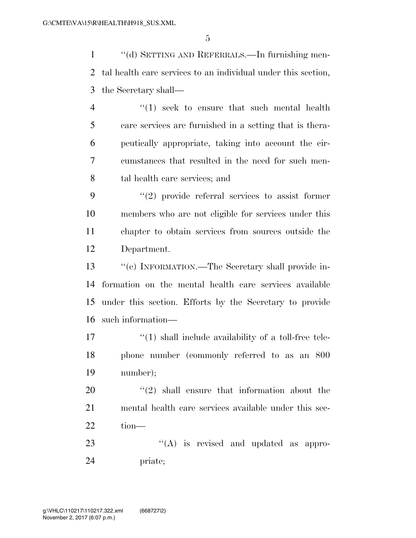''(d) SETTING AND REFERRALS.—In furnishing men- tal health care services to an individual under this section, the Secretary shall—

4 "(1) seek to ensure that such mental health care services are furnished in a setting that is thera- peutically appropriate, taking into account the cir- cumstances that resulted in the need for such men-tal health care services; and

 ''(2) provide referral services to assist former members who are not eligible for services under this chapter to obtain services from sources outside the Department.

 ''(e) INFORMATION.—The Secretary shall provide in- formation on the mental health care services available under this section. Efforts by the Secretary to provide such information—

 $\frac{17}{2}$  ''(1) shall include availability of a toll-free tele- phone number (commonly referred to as an 800 number);

 ''(2) shall ensure that information about the mental health care services available under this sec-tion—

23  $\cdot$  (A) is revised and updated as appro-priate;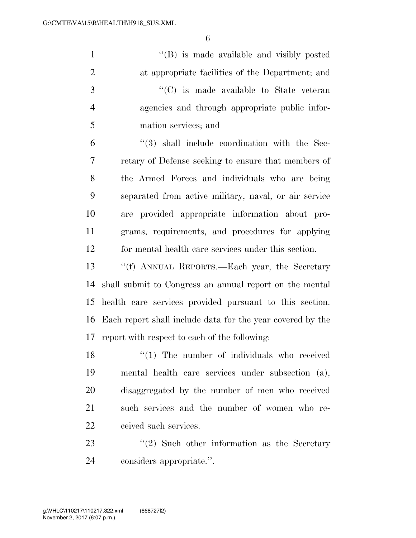| $\mathbf{1}$   | "(B) is made available and visibly posted                  |
|----------------|------------------------------------------------------------|
| $\overline{2}$ | at appropriate facilities of the Department; and           |
| 3              | $\lq\lq$ (C) is made available to State veteran            |
| $\overline{4}$ | agencies and through appropriate public infor-             |
| 5              | mation services; and                                       |
| 6              | $\lq(3)$ shall include coordination with the Sec-          |
| 7              | retary of Defense seeking to ensure that members of        |
| 8              | the Armed Forces and individuals who are being             |
| 9              | separated from active military, naval, or air service      |
| 10             | are provided appropriate information about pro-            |
| 11             | grams, requirements, and procedures for applying           |
| 12             | for mental health care services under this section.        |
| 13             | "(f) ANNUAL REPORTS.—Each year, the Secretary              |
| 14             | shall submit to Congress an annual report on the mental    |
| 15             | health care services provided pursuant to this section.    |
| 16             | Each report shall include data for the year covered by the |
| 17             | report with respect to each of the following:              |
| 18             | $"(1)$ The number of individuals who received              |
| 19             | mental health care services under subsection (a),          |
| 20             | disaggregated by the number of men who received            |
| 21             | such services and the number of women who re-              |
| 22             | ceived such services.                                      |
| $\cap$         | $\cdots$ $\cdots$ $\alpha$                                 |

23 ''(2) Such other information as the Secretary considers appropriate.''.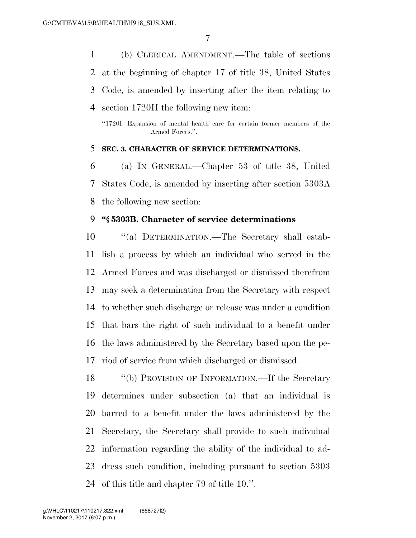(b) CLERICAL AMENDMENT.—The table of sections at the beginning of chapter 17 of title 38, United States Code, is amended by inserting after the item relating to section 1720H the following new item:

"1720I. Expansion of mental health care for certain former members of the Armed Forces.".

#### **SEC. 3. CHARACTER OF SERVICE DETERMINATIONS.**

 (a) IN GENERAL.—Chapter 53 of title 38, United States Code, is amended by inserting after section 5303A the following new section:

#### **''§ 5303B. Character of service determinations**

 ''(a) DETERMINATION.—The Secretary shall estab- lish a process by which an individual who served in the Armed Forces and was discharged or dismissed therefrom may seek a determination from the Secretary with respect to whether such discharge or release was under a condition that bars the right of such individual to a benefit under the laws administered by the Secretary based upon the pe-riod of service from which discharged or dismissed.

 ''(b) PROVISION OF INFORMATION.—If the Secretary determines under subsection (a) that an individual is barred to a benefit under the laws administered by the Secretary, the Secretary shall provide to such individual information regarding the ability of the individual to ad- dress such condition, including pursuant to section 5303 of this title and chapter 79 of title 10.''.